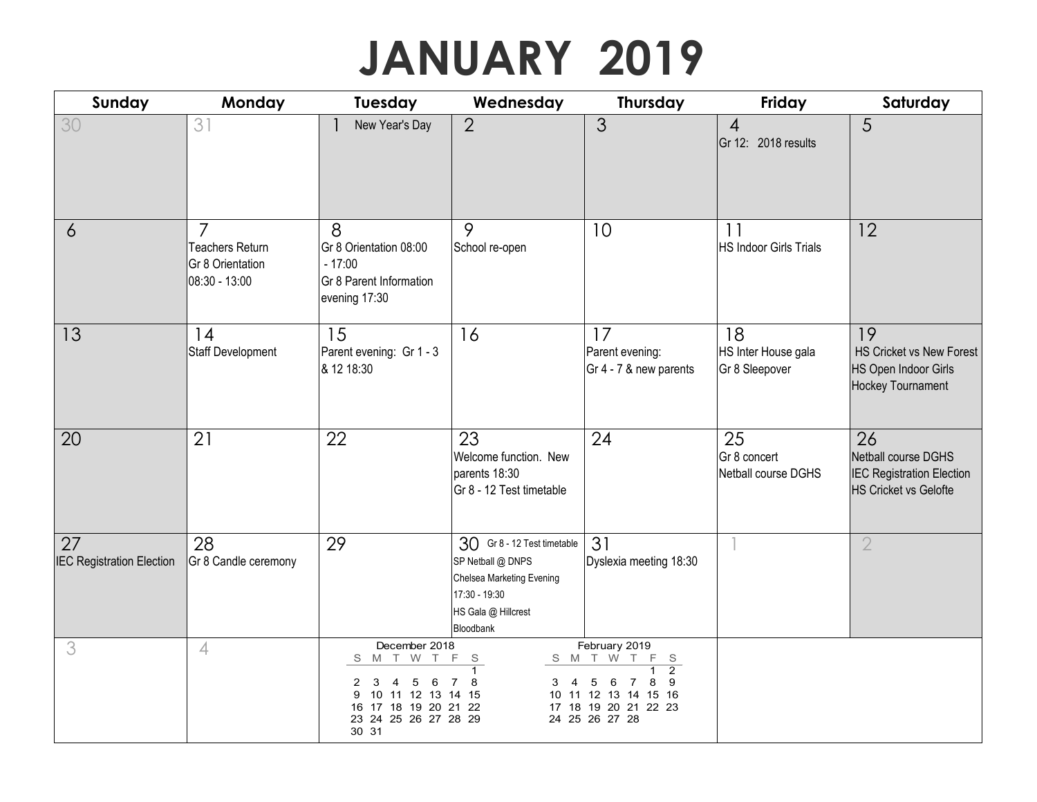## **JANUARY 2019**

| Sunday                                 | Monday                                                                        | <b>Tuesday</b>                                                                                                                       | Wednesday                                                                                                                          | Thursday                                                                                                                                   | Friday                                      | Saturday                                                                                      |
|----------------------------------------|-------------------------------------------------------------------------------|--------------------------------------------------------------------------------------------------------------------------------------|------------------------------------------------------------------------------------------------------------------------------------|--------------------------------------------------------------------------------------------------------------------------------------------|---------------------------------------------|-----------------------------------------------------------------------------------------------|
| 30                                     | 31                                                                            | New Year's Day                                                                                                                       | $\overline{2}$                                                                                                                     | 3                                                                                                                                          | $\overline{4}$<br>Gr 12: 2018 results       | 5                                                                                             |
| $\delta$                               | $\overline{7}$<br><b>Teachers Return</b><br>Gr 8 Orientation<br>08:30 - 13:00 | 8<br>Gr 8 Orientation 08:00<br>$-17:00$<br>Gr 8 Parent Information<br>evening 17:30                                                  | 9<br>School re-open                                                                                                                | 10                                                                                                                                         | 11<br><b>HS Indoor Girls Trials</b>         | 12                                                                                            |
| 13                                     | 14<br><b>Staff Development</b>                                                | 15<br>Parent evening: Gr 1 - 3<br>& 12 18:30                                                                                         | 16                                                                                                                                 | 17<br>Parent evening:<br>Gr 4 - 7 & new parents                                                                                            | 18<br>HS Inter House gala<br>Gr 8 Sleepover | 19<br>HS Cricket vs New Forest<br>HS Open Indoor Girls<br>Hockey Tournament                   |
| 20                                     | 21                                                                            | 22                                                                                                                                   | 23<br>Welcome function. New<br>parents 18:30<br>Gr 8 - 12 Test timetable                                                           | 24                                                                                                                                         | 25<br>Gr 8 concert<br>Netball course DGHS   | 26<br>Netball course DGHS<br><b>IEC Registration Election</b><br><b>HS Cricket vs Gelofte</b> |
| 27<br><b>IEC Registration Election</b> | 28<br>Gr 8 Candle ceremony                                                    | 29                                                                                                                                   | 30 Gr 8 - 12 Test timetable<br>SP Netball @ DNPS<br>Chelsea Marketing Evening<br>17:30 - 19:30<br>HS Gala @ Hillcrest<br>Bloodbank | 31<br>Dyslexia meeting 18:30                                                                                                               |                                             | $\overline{2}$                                                                                |
| 3                                      | $\overline{4}$                                                                | December 2018<br>M T W T<br>S<br>5<br>2<br>3<br>4<br>6<br>10 11 12 13 14 15<br>16 17 18 19 20 21 22<br>23 24 25 26 27 28 29<br>30 31 | F<br>- S<br>8<br>7<br>$3 \quad 4$                                                                                                  | February 2019<br>F S<br>S M T W T<br>$\overline{2}$<br>8<br>5<br>6<br>-7<br>10 11 12 13 14 15 16<br>17 18 19 20 21 22 23<br>24 25 26 27 28 |                                             |                                                                                               |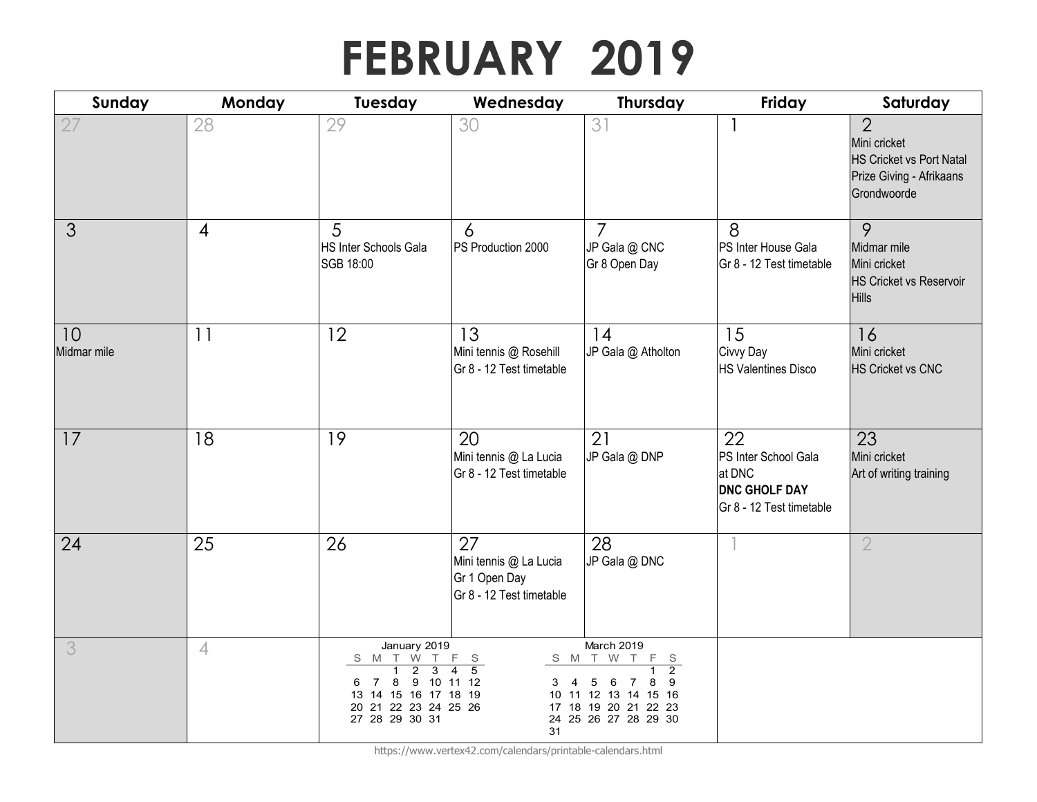## **FEBRUARY 2019**

| Sunday            | Monday         | <b>Tuesday</b>                                                                                                                                                                                         | Wednesday                                                                          | Thursday                                                                                                                                | Friday                                                                                   | Saturday                                                                                                     |
|-------------------|----------------|--------------------------------------------------------------------------------------------------------------------------------------------------------------------------------------------------------|------------------------------------------------------------------------------------|-----------------------------------------------------------------------------------------------------------------------------------------|------------------------------------------------------------------------------------------|--------------------------------------------------------------------------------------------------------------|
| 27                | 28             | 29                                                                                                                                                                                                     | 30                                                                                 | 31                                                                                                                                      |                                                                                          | $\overline{2}$<br>Mini cricket<br><b>HS Cricket vs Port Natal</b><br>Prize Giving - Afrikaans<br>Grondwoorde |
| 3                 | $\overline{4}$ | 5<br>HS Inter Schools Gala<br>SGB 18:00                                                                                                                                                                | 6<br>PS Production 2000                                                            | $\overline{7}$<br>JP Gala @ CNC<br>Gr 8 Open Day                                                                                        | 8<br>PS Inter House Gala<br>Gr 8 - 12 Test timetable                                     | 9<br>Midmar mile<br>Mini cricket<br><b>HS Cricket vs Reservoir</b><br>Hills                                  |
| 10<br>Midmar mile | 11             | 12                                                                                                                                                                                                     | 13<br>Mini tennis @ Rosehill<br>Gr 8 - 12 Test timetable                           | 14<br>JP Gala @ Atholton                                                                                                                | 15<br>Civvy Day<br><b>HS Valentines Disco</b>                                            | 16<br>Mini cricket<br><b>HS Cricket vs CNC</b>                                                               |
| 17                | 18             | 19                                                                                                                                                                                                     | 20<br>Mini tennis @ La Lucia<br>Gr 8 - 12 Test timetable                           | 21<br>JP Gala @ DNP                                                                                                                     | 22<br>PS Inter School Gala<br>at DNC<br><b>DNC GHOLF DAY</b><br>Gr 8 - 12 Test timetable | 23<br>Mini cricket<br>Art of writing training                                                                |
| 24                | 25             | 26                                                                                                                                                                                                     | 27<br>Mini tennis @ La Lucia<br>Gr 1 Open Day<br>Gr 8 - 12 Test timetable          | 28<br>JP Gala @ DNC                                                                                                                     |                                                                                          | $\overline{2}$                                                                                               |
| 3                 | $\overline{4}$ | January 2019<br>$\begin{array}{c cccc}\nS & M & T & \overset{\smash{\cdot}}{W} & T \\ \hline\n1 & 2 & 3\n\end{array}$<br>8<br>7<br>6<br>13 14 15 16 17 18 19<br>20 21 22 23 24 25 26<br>27 28 29 30 31 | F S<br>$\overline{4}$<br>$\overline{5}$<br>9 10 11 12<br>$\overline{4}$<br>3<br>31 | March 2019<br>F S<br>S M T W T<br>$\overline{2}$<br>8<br>5<br>6<br>10 11 12 13 14 15 16<br>17 18 19 20 21 22 23<br>24 25 26 27 28 29 30 |                                                                                          |                                                                                                              |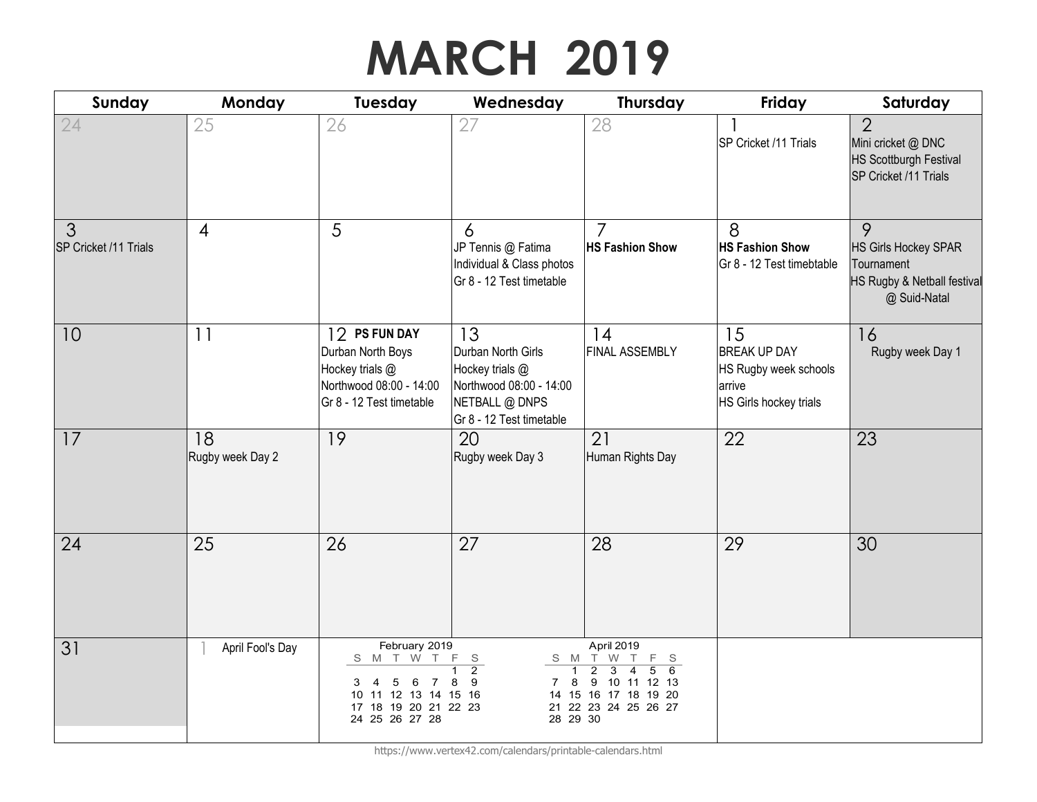# **MARCH 2019**

| Sunday                     | Monday                 | Tuesday                                                                                                                                            | Wednesday                                                                                                            | <b>Thursday</b>                                                                                                                                                                                   | Friday                                                                                 | Saturday                                                                                       |
|----------------------------|------------------------|----------------------------------------------------------------------------------------------------------------------------------------------------|----------------------------------------------------------------------------------------------------------------------|---------------------------------------------------------------------------------------------------------------------------------------------------------------------------------------------------|----------------------------------------------------------------------------------------|------------------------------------------------------------------------------------------------|
| 24                         | 25                     | 26                                                                                                                                                 | 27                                                                                                                   | 28                                                                                                                                                                                                | SP Cricket /11 Trials                                                                  | $\overline{2}$<br>Mini cricket @ DNC<br><b>HS Scottburgh Festival</b><br>SP Cricket /11 Trials |
| 3<br>SP Cricket /11 Trials | $\overline{4}$         | 5                                                                                                                                                  | 6<br>JP Tennis @ Fatima<br>Individual & Class photos<br>Gr 8 - 12 Test timetable                                     | 7<br><b>HS Fashion Show</b>                                                                                                                                                                       | 8<br><b>HS Fashion Show</b><br>Gr 8 - 12 Test timebtable                               | 9<br><b>HS Girls Hockey SPAR</b><br>Tournament<br>HS Rugby & Netball festival<br>@ Suid-Natal  |
| 10                         | 11                     | 12 PS FUN DAY<br>Durban North Boys<br>Hockey trials @<br>Northwood 08:00 - 14:00<br>Gr 8 - 12 Test timetable                                       | 13<br>Durban North Girls<br>Hockey trials @<br>Northwood 08:00 - 14:00<br>NETBALL @ DNPS<br>Gr 8 - 12 Test timetable | 14<br>FINAL ASSEMBLY                                                                                                                                                                              | 15<br><b>BREAK UP DAY</b><br>HS Rugby week schools<br>arrive<br>HS Girls hockey trials | 16<br>Rugby week Day 1                                                                         |
| 17                         | 18<br>Rugby week Day 2 | 19                                                                                                                                                 | 20<br>Rugby week Day 3                                                                                               | 21<br>Human Rights Day                                                                                                                                                                            | 22                                                                                     | 23                                                                                             |
| 24                         | 25                     | 26                                                                                                                                                 | 27                                                                                                                   | 28                                                                                                                                                                                                | 29                                                                                     | 30                                                                                             |
| 31                         | April Fool's Day       | February 2019<br>S M T W T<br>3<br>$\overline{4}$<br>5<br>6<br>$\overline{7}$<br>11 12 13 14 15 16<br>10<br>17 18 19 20 21 22 23<br>24 25 26 27 28 | $\mathsf F$<br>S<br>$\overline{2}$<br>$\overline{1}$<br>8<br>9<br>8<br>7<br>28 29 30                                 | April 2019<br>S M T W<br>F S<br>$\top$<br>$\overline{6}$<br>$\overline{3}$<br>$\overline{5}$<br>$\overline{2}$<br>$\overline{4}$<br>9 10 11 12 13<br>14 15 16 17 18 19 20<br>21 22 23 24 25 26 27 |                                                                                        |                                                                                                |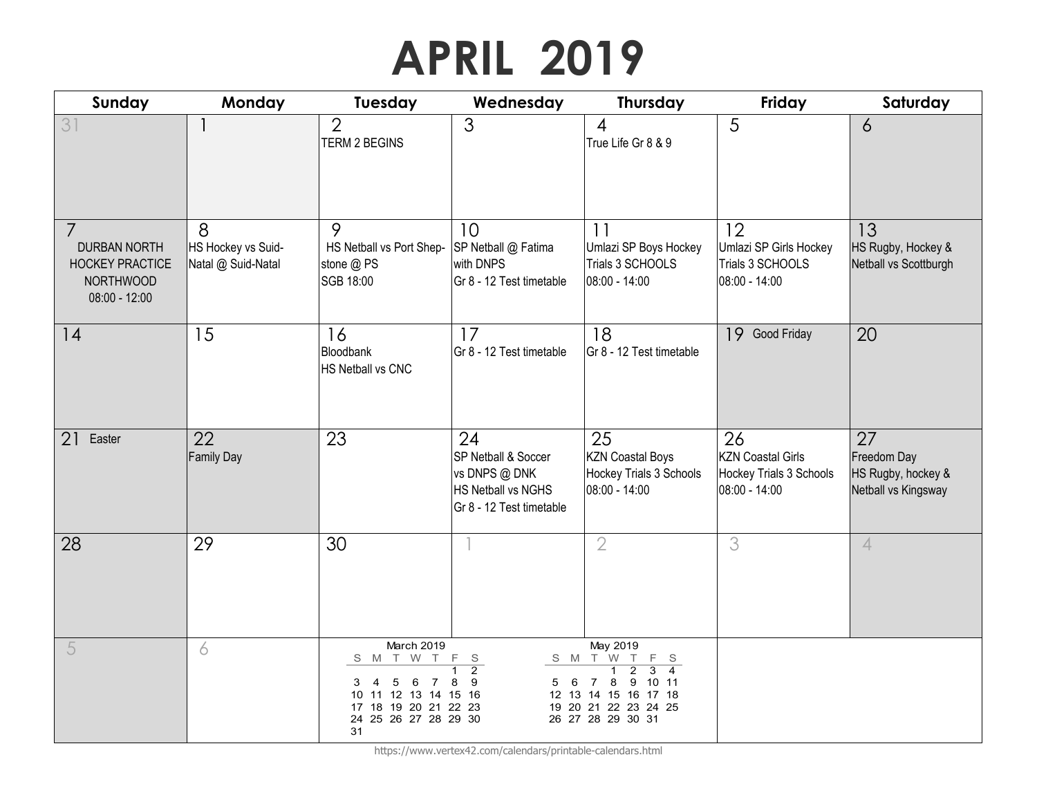## **APRIL 2019**

| Sunday                                                                               | Monday                                        | Tuesday                                                                                                                                        | Wednesday                                                                                    | Thursday                                                                                                                                                                                                        | Friday                                                                     | Saturday                                                       |
|--------------------------------------------------------------------------------------|-----------------------------------------------|------------------------------------------------------------------------------------------------------------------------------------------------|----------------------------------------------------------------------------------------------|-----------------------------------------------------------------------------------------------------------------------------------------------------------------------------------------------------------------|----------------------------------------------------------------------------|----------------------------------------------------------------|
| 31                                                                                   |                                               | $\overline{2}$<br><b>TERM 2 BEGINS</b>                                                                                                         | 3                                                                                            | $\overline{4}$<br>True Life Gr 8 & 9                                                                                                                                                                            | 5                                                                          | 6                                                              |
| <b>DURBAN NORTH</b><br><b>HOCKEY PRACTICE</b><br><b>NORTHWOOD</b><br>$08:00 - 12:00$ | 8<br>HS Hockey vs Suid-<br>Natal @ Suid-Natal | 9<br>HS Netball vs Port Shep-<br>stone @ PS<br>SGB 18:00                                                                                       | 10<br>SP Netball @ Fatima<br>with DNPS<br>Gr 8 - 12 Test timetable                           | 11<br>Umlazi SP Boys Hockey<br>Trials 3 SCHOOLS<br>08:00 - 14:00                                                                                                                                                | 12<br>Umlazi SP Girls Hockey<br>Trials 3 SCHOOLS<br>08:00 - 14:00          | 13<br>HS Rugby, Hockey &<br>Netball vs Scottburgh              |
| 14                                                                                   | 15                                            | 16<br>Bloodbank<br>HS Netball vs CNC                                                                                                           | 17<br>Gr 8 - 12 Test timetable                                                               | 18<br>Gr 8 - 12 Test timetable                                                                                                                                                                                  | 19 Good Friday                                                             | 20                                                             |
| 21<br>Easter                                                                         | 22<br><b>Family Day</b>                       | 23                                                                                                                                             | 24<br>SP Netball & Soccer<br>vs DNPS @ DNK<br>HS Netball vs NGHS<br>Gr 8 - 12 Test timetable | 25<br><b>KZN Coastal Boys</b><br>Hockey Trials 3 Schools<br>08:00 - 14:00                                                                                                                                       | 26<br><b>KZN Coastal Girls</b><br>Hockey Trials 3 Schools<br>08:00 - 14:00 | 27<br>Freedom Day<br>HS Rugby, hockey &<br>Netball vs Kingsway |
| 28                                                                                   | 29                                            | 30                                                                                                                                             |                                                                                              | $\overline{2}$                                                                                                                                                                                                  | 3                                                                          | $\overline{4}$                                                 |
| 5                                                                                    | 6                                             | March 2019<br>T W T<br>S M<br>$\overline{4}$<br>5<br>6<br>3<br>7<br>10 11 12 13 14 15 16<br>17 18 19 20 21 22 23<br>24 25 26 27 28 29 30<br>31 | F S<br>$\overline{2}$<br>1<br>8<br>- 9<br>- 6<br>5                                           | May 2019<br>S M T W T<br>F<br>S S<br>$\overline{2}$<br>$\overline{\mathbf{3}}$<br>$\overline{1}$<br>$\overline{4}$<br>8<br>9<br>10 11<br>7<br>12 13 14 15 16 17 18<br>19 20 21 22 23 24 25<br>26 27 28 29 30 31 |                                                                            |                                                                |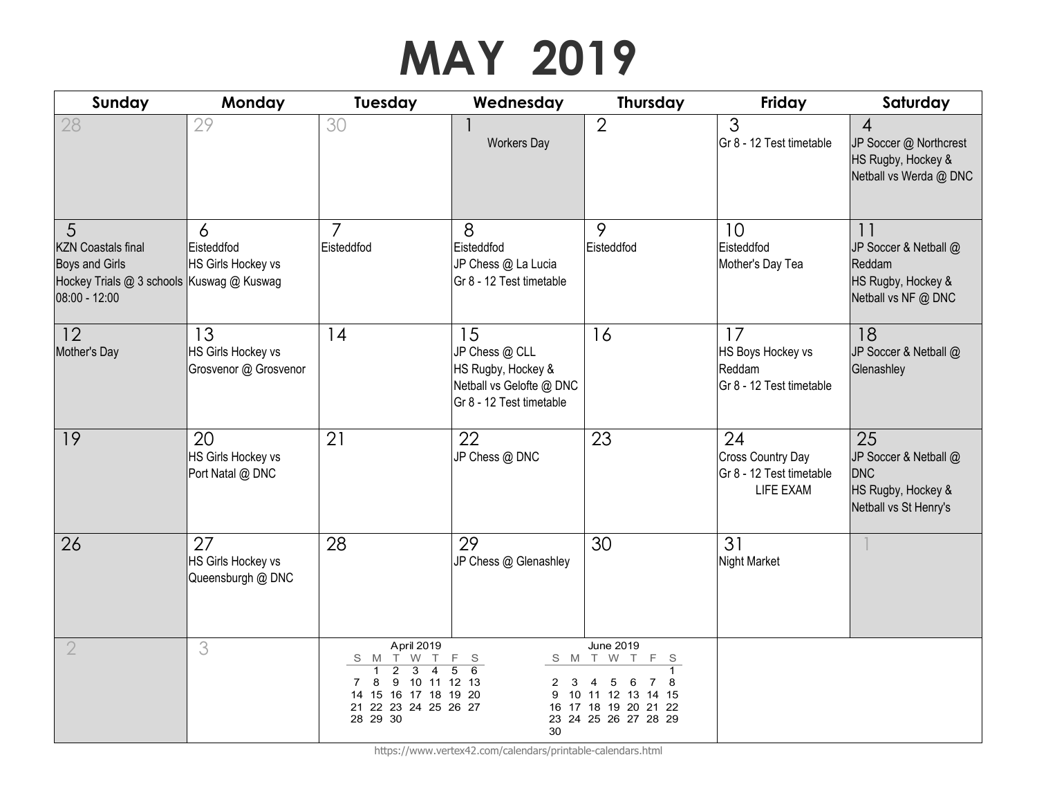# **MAY 2019**

| Sunday                                                                                                                | Monday                                            | Tuesday                                                                                                                                                              | Wednesday                                                                                          | <b>Thursday</b>                                                                                                          | Friday                                                                  | Saturday                                                                                 |
|-----------------------------------------------------------------------------------------------------------------------|---------------------------------------------------|----------------------------------------------------------------------------------------------------------------------------------------------------------------------|----------------------------------------------------------------------------------------------------|--------------------------------------------------------------------------------------------------------------------------|-------------------------------------------------------------------------|------------------------------------------------------------------------------------------|
| 28                                                                                                                    | 29                                                | 30                                                                                                                                                                   | <b>Workers Day</b>                                                                                 | $\overline{2}$                                                                                                           | $\mathfrak{S}$<br>Gr 8 - 12 Test timetable                              | $\overline{4}$<br>JP Soccer @ Northcrest<br>HS Rugby, Hockey &<br>Netball vs Werda @ DNC |
| 5<br><b>KZN Coastals final</b><br><b>Boys and Girls</b><br>Hockey Trials @ 3 schools Kuswag @ Kuswag<br>08:00 - 12:00 | 6<br>Eisteddfod<br>HS Girls Hockey vs             | $\overline{7}$<br>Eisteddfod                                                                                                                                         | 8<br>Eisteddfod<br>JP Chess @ La Lucia<br>Gr 8 - 12 Test timetable                                 | 9<br>Eisteddfod                                                                                                          | 10<br>Eisteddfod<br>Mother's Day Tea                                    | 11<br>JP Soccer & Netball @<br>Reddam<br>HS Rugby, Hockey &<br>Netball vs NF @ DNC       |
| 12<br>Mother's Day                                                                                                    | 13<br>HS Girls Hockey vs<br>Grosvenor @ Grosvenor | 14                                                                                                                                                                   | 15<br>JP Chess @ CLL<br>HS Rugby, Hockey &<br>Netball vs Gelofte @ DNC<br>Gr 8 - 12 Test timetable | 16                                                                                                                       | 17<br>HS Boys Hockey vs<br>Reddam<br>Gr 8 - 12 Test timetable           | 18<br>JP Soccer & Netball @<br>Glenashley                                                |
| 19                                                                                                                    | 20<br>HS Girls Hockey vs<br>Port Natal @ DNC      | 21                                                                                                                                                                   | 22<br>JP Chess @ DNC                                                                               | 23                                                                                                                       | 24<br><b>Cross Country Day</b><br>Gr 8 - 12 Test timetable<br>LIFE EXAM | 25<br>JP Soccer & Netball @<br><b>DNC</b><br>HS Rugby, Hockey &<br>Netball vs St Henry's |
| 26                                                                                                                    | 27<br>HS Girls Hockey vs<br>Queensburgh @ DNC     | 28                                                                                                                                                                   | 29<br>JP Chess @ Glenashley                                                                        | 30                                                                                                                       | 31<br><b>Night Market</b>                                               |                                                                                          |
| $\overline{2}$                                                                                                        | 3                                                 | April 2019<br>$W$ T<br>S M T<br>$\overline{3}$<br>$\overline{2}$<br>$\overline{4}$<br>9 10 11 12 13<br>8<br>14 15 16 17 18 19 20<br>21 22 23 24 25 26 27<br>28 29 30 | F S<br>$\overline{5}$<br>$\overline{6}$<br>2<br>3<br>30                                            | <b>June 2019</b><br>F<br>S M T W T<br>- S<br>5<br>6<br>10 11 12 13 14 15<br>16 17 18 19 20 21 22<br>23 24 25 26 27 28 29 |                                                                         |                                                                                          |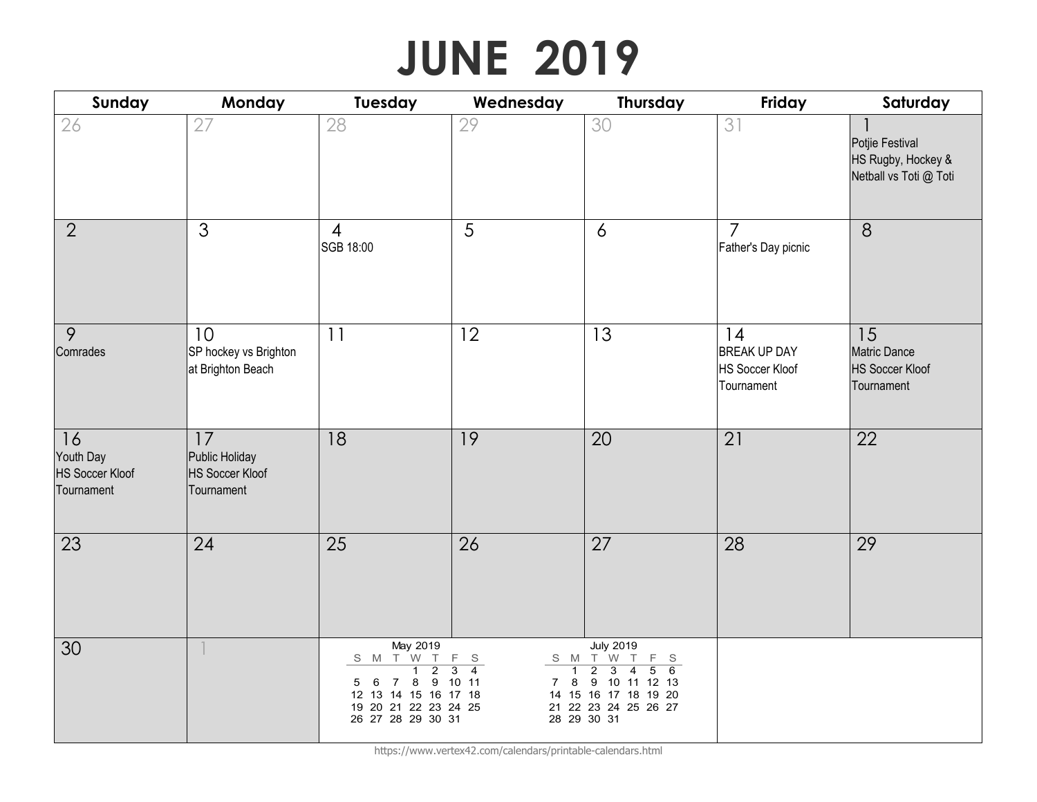# **JUNE 2019**

| Sunday                                                  | Monday                                                       | <b>Tuesday</b>                                                                                                                                                        | Wednesday                                                                                  | <b>Thursday</b>                                                                                                                                                                                                | Friday                                                            | Saturday                                                          |
|---------------------------------------------------------|--------------------------------------------------------------|-----------------------------------------------------------------------------------------------------------------------------------------------------------------------|--------------------------------------------------------------------------------------------|----------------------------------------------------------------------------------------------------------------------------------------------------------------------------------------------------------------|-------------------------------------------------------------------|-------------------------------------------------------------------|
| 26                                                      | 27                                                           | 28                                                                                                                                                                    | 29                                                                                         | 30                                                                                                                                                                                                             | 31                                                                | Potjie Festival<br>HS Rugby, Hockey &<br>Netball vs Toti @ Toti   |
| $\overline{2}$                                          | 3                                                            | $\overline{4}$<br>SGB 18:00                                                                                                                                           | 5                                                                                          | $\overline{6}$                                                                                                                                                                                                 | $\overline{7}$<br>Father's Day picnic                             | 8                                                                 |
| 9<br>Comrades                                           | 10<br>SP hockey vs Brighton<br>at Brighton Beach             | 11                                                                                                                                                                    | 12                                                                                         | 13                                                                                                                                                                                                             | 14<br><b>BREAK UP DAY</b><br><b>HS Soccer Kloof</b><br>Tournament | 15<br><b>Matric Dance</b><br><b>HS Soccer Kloof</b><br>Tournament |
| 16<br>Youth Day<br><b>HS Soccer Kloof</b><br>Tournament | 17<br>Public Holiday<br><b>HS Soccer Kloof</b><br>Tournament | 18                                                                                                                                                                    | 19                                                                                         | 20                                                                                                                                                                                                             | 21                                                                | 22                                                                |
| 23                                                      | 24                                                           | 25                                                                                                                                                                    | 26                                                                                         | 27                                                                                                                                                                                                             | 28                                                                | 29                                                                |
| 30                                                      |                                                              | May 2019<br>S M T W T<br>$\overline{2}$<br>$\overline{1}$<br>7 8 9 10 11<br>$6\overline{6}$<br>5<br>12 13 14 15 16 17 18<br>19 20 21 22 23 24 25<br>26 27 28 29 30 31 | F S<br>$\overline{4}$<br>$\overline{\mathbf{3}}$<br>$\overline{1}$<br>8<br>$7\overline{ }$ | <b>July 2019</b><br>S M T W<br>$\top$<br>F<br>S S<br>$\overline{2}$<br>$\overline{3}$<br>$\overline{5}$<br>6<br>$\overline{4}$<br>9 10 11 12 13<br>14 15 16 17 18 19 20<br>21 22 23 24 25 26 27<br>28 29 30 31 |                                                                   |                                                                   |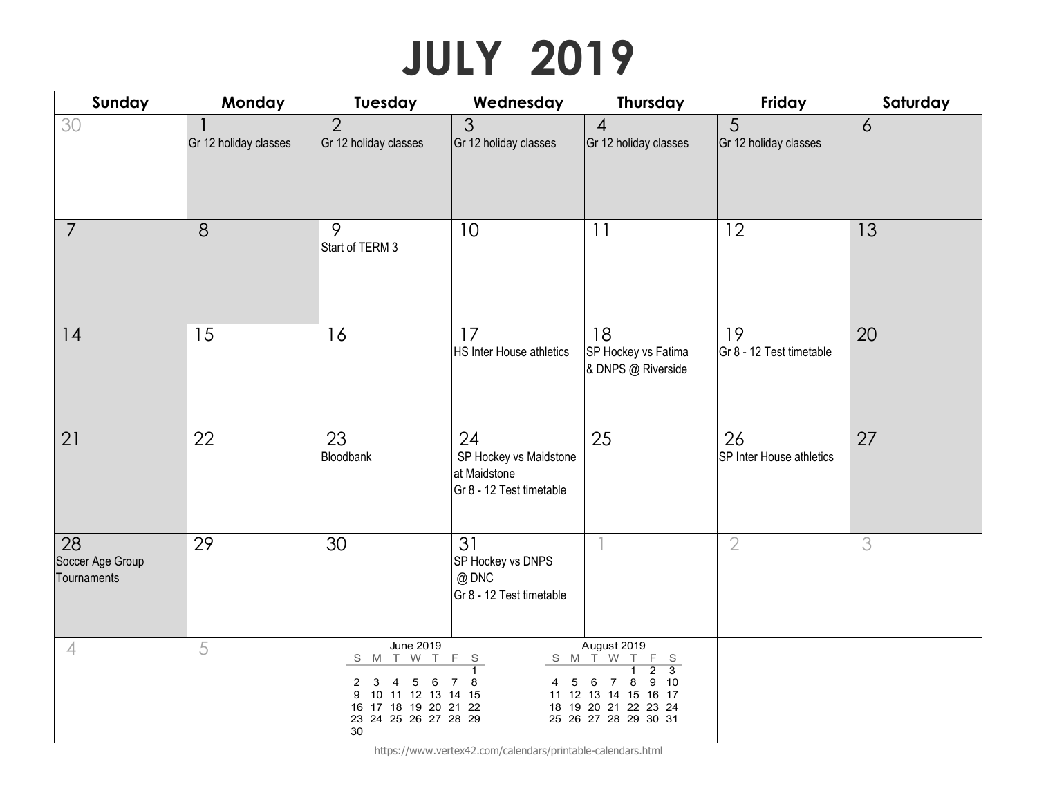# **JULY 2019**

| Sunday                                | Monday                | Tuesday                                                                                                                                | Wednesday                                                                | <b>Thursday</b>                                                                                                                                                              | Friday                         | Saturday       |
|---------------------------------------|-----------------------|----------------------------------------------------------------------------------------------------------------------------------------|--------------------------------------------------------------------------|------------------------------------------------------------------------------------------------------------------------------------------------------------------------------|--------------------------------|----------------|
| 30                                    | Gr 12 holiday classes | $\overline{2}$<br>Gr 12 holiday classes                                                                                                | 3<br>Gr 12 holiday classes                                               | $\overline{4}$<br>Gr 12 holiday classes                                                                                                                                      | 5<br>Gr 12 holiday classes     | $\overline{6}$ |
| $\overline{7}$                        | 8                     | 9<br>Start of TERM 3                                                                                                                   | 10                                                                       | 11                                                                                                                                                                           | 12                             | 13             |
| 14                                    | 15                    | 16                                                                                                                                     | 17<br><b>HS Inter House athletics</b>                                    | 18<br>SP Hockey vs Fatima<br>& DNPS @ Riverside                                                                                                                              | 19<br>Gr 8 - 12 Test timetable | 20             |
| 21                                    | 22                    | 23<br>Bloodbank                                                                                                                        | 24<br>SP Hockey vs Maidstone<br>at Maidstone<br>Gr 8 - 12 Test timetable | 25                                                                                                                                                                           | 26<br>SP Inter House athletics | 27             |
| 28<br>Soccer Age Group<br>Tournaments | 29                    | 30                                                                                                                                     | 31<br>SP Hockey vs DNPS<br>@ DNC<br>Gr 8 - 12 Test timetable             |                                                                                                                                                                              | $\overline{2}$                 | 3              |
| $\overline{4}$                        | 5                     | <b>June 2019</b><br>S M T W T<br>3<br>4<br>5<br>6<br>2<br>10 11 12 13 14 15<br>9<br>16 17 18 19 20 21 22<br>23 24 25 26 27 28 29<br>30 | $\mathsf F$<br>- S<br>$\mathbf{1}$<br>8<br>5<br>4                        | August 2019<br>S M T W T<br>F S<br>$\overline{2}$<br>$\overline{3}$<br>1<br>9<br>6<br>8<br>- 10<br>7<br>11 12 13 14 15 16 17<br>18 19 20 21 22 23 24<br>25 26 27 28 29 30 31 |                                |                |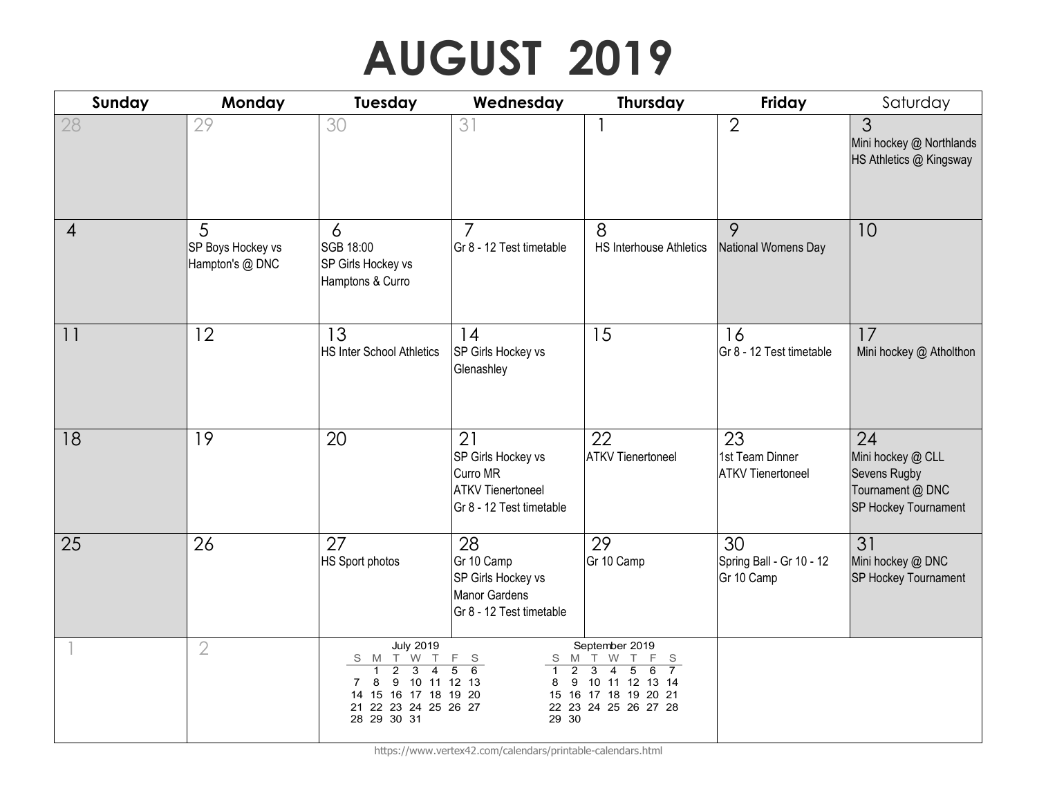## **AUGUST 2019**

| Sunday | Monday                                    | Tuesday                                                                                                                                                                          | Wednesday                                                                                    | <b>Thursday</b>                                                                                                                                                         | Friday                                            | Saturday                                                                            |
|--------|-------------------------------------------|----------------------------------------------------------------------------------------------------------------------------------------------------------------------------------|----------------------------------------------------------------------------------------------|-------------------------------------------------------------------------------------------------------------------------------------------------------------------------|---------------------------------------------------|-------------------------------------------------------------------------------------|
| 28     | 29                                        | 30                                                                                                                                                                               | 31                                                                                           |                                                                                                                                                                         | $\overline{2}$                                    | 3<br>Mini hockey @ Northlands<br>HS Athletics @ Kingsway                            |
| 4      | 5<br>SP Boys Hockey vs<br>Hampton's @ DNC | 6<br>SGB 18:00<br>SP Girls Hockey vs<br>Hamptons & Curro                                                                                                                         | $\overline{7}$<br>Gr 8 - 12 Test timetable                                                   | 8<br>HS Interhouse Athletics                                                                                                                                            | 9<br>National Womens Day                          | 10                                                                                  |
| 11     | 12                                        | 13<br><b>HS Inter School Athletics</b>                                                                                                                                           | 14<br>SP Girls Hockey vs<br>Glenashley                                                       | 15                                                                                                                                                                      | 16<br>Gr 8 - 12 Test timetable                    | 17<br>Mini hockey @ Atholthon                                                       |
| 18     | 19                                        | 20                                                                                                                                                                               | 21<br>SP Girls Hockey vs<br>Curro MR<br><b>ATKV</b> Tienertoneel<br>Gr 8 - 12 Test timetable | 22<br><b>ATKV Tienertoneel</b>                                                                                                                                          | 23<br>1st Team Dinner<br><b>ATKV Tienertoneel</b> | 24<br>Mini hockey @ CLL<br>Sevens Rugby<br>Tournament @ DNC<br>SP Hockey Tournament |
| 25     | 26                                        | 27<br>HS Sport photos                                                                                                                                                            | 28<br>Gr 10 Camp<br>SP Girls Hockey vs<br><b>Manor Gardens</b><br>Gr 8 - 12 Test timetable   | 29<br>Gr 10 Camp                                                                                                                                                        | 30<br>Spring Ball - Gr 10 - 12<br>Gr 10 Camp      | 31<br>Mini hockey @ DNC<br>SP Hockey Tournament                                     |
|        | $\overline{2}$                            | <b>July 2019</b><br>S M T W<br>T<br>$\overline{2}$<br>$\overline{3}$<br>$\overline{4}$<br>9 10 11 12 13<br>8<br>7<br>14 15 16 17 18 19 20<br>21 22 23 24 25 26 27<br>28 29 30 31 | F<br>S.<br>M<br>S<br>6<br>$\overline{5}$<br>$\overline{2}$<br>9<br>8<br>29 30                | September 2019<br>T W<br>T.<br>F<br>S<br>$\overline{3}$<br>$\overline{4}$<br>$\overline{7}$<br>5<br>6<br>10 11 12 13 14<br>15 16 17 18 19 20 21<br>22 23 24 25 26 27 28 |                                                   |                                                                                     |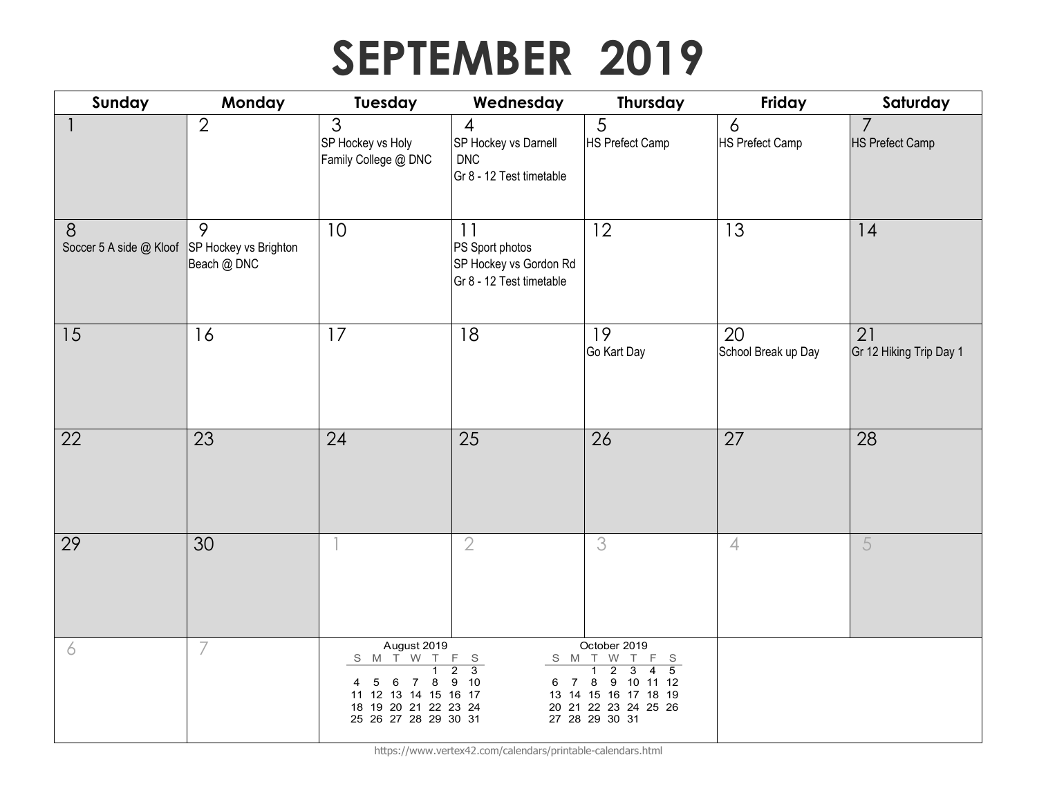## **SEPTEMBER 2019**

| Sunday                                             | Monday           | <b>Tuesday</b>                                                                                                              | Wednesday                                                                        | Thursday                                                                                                                                                                                                                 | Friday                      | Saturday                                 |
|----------------------------------------------------|------------------|-----------------------------------------------------------------------------------------------------------------------------|----------------------------------------------------------------------------------|--------------------------------------------------------------------------------------------------------------------------------------------------------------------------------------------------------------------------|-----------------------------|------------------------------------------|
|                                                    | $\overline{2}$   | 3<br>SP Hockey vs Holy<br>Family College @ DNC                                                                              | $\overline{4}$<br>SP Hockey vs Darnell<br><b>DNC</b><br>Gr 8 - 12 Test timetable | 5<br><b>HS Prefect Camp</b>                                                                                                                                                                                              | 6<br><b>HS Prefect Camp</b> | $\overline{7}$<br><b>HS Prefect Camp</b> |
| 8<br>Soccer 5 A side @ Kloof SP Hockey vs Brighton | 9<br>Beach @ DNC | 10                                                                                                                          | 11<br>PS Sport photos<br>SP Hockey vs Gordon Rd<br>Gr 8 - 12 Test timetable      | 12                                                                                                                                                                                                                       | 13                          | 14                                       |
| 15                                                 | 16               | 17                                                                                                                          | 18                                                                               | 19<br>Go Kart Day                                                                                                                                                                                                        | 20<br>School Break up Day   | 21<br>Gr 12 Hiking Trip Day 1            |
| 22                                                 | 23               | 24                                                                                                                          | 25                                                                               | 26                                                                                                                                                                                                                       | 27                          | 28                                       |
| 29                                                 | 30               |                                                                                                                             | $\overline{2}$                                                                   | 3                                                                                                                                                                                                                        | $\overline{4}$              | 5                                        |
| 6                                                  | 7                | August 2019<br>S M T W<br>$\top$<br>6 7 8<br>5<br>4<br>11 12 13 14 15 16 17<br>18 19 20 21 22 23 24<br>25 26 27 28 29 30 31 | F<br>- S<br>$\overline{2}$<br>$\overline{\mathbf{3}}$<br>9 10<br>6 7             | October 2019<br>S M T W<br>F<br>T.<br>- S<br>$\overline{2}$<br>$\overline{5}$<br>$\overline{3}$<br>$\overline{1}$<br>$\overline{4}$<br>9 10 11 12<br>8<br>13 14 15 16 17 18 19<br>20 21 22 23 24 25 26<br>27 28 29 30 31 |                             |                                          |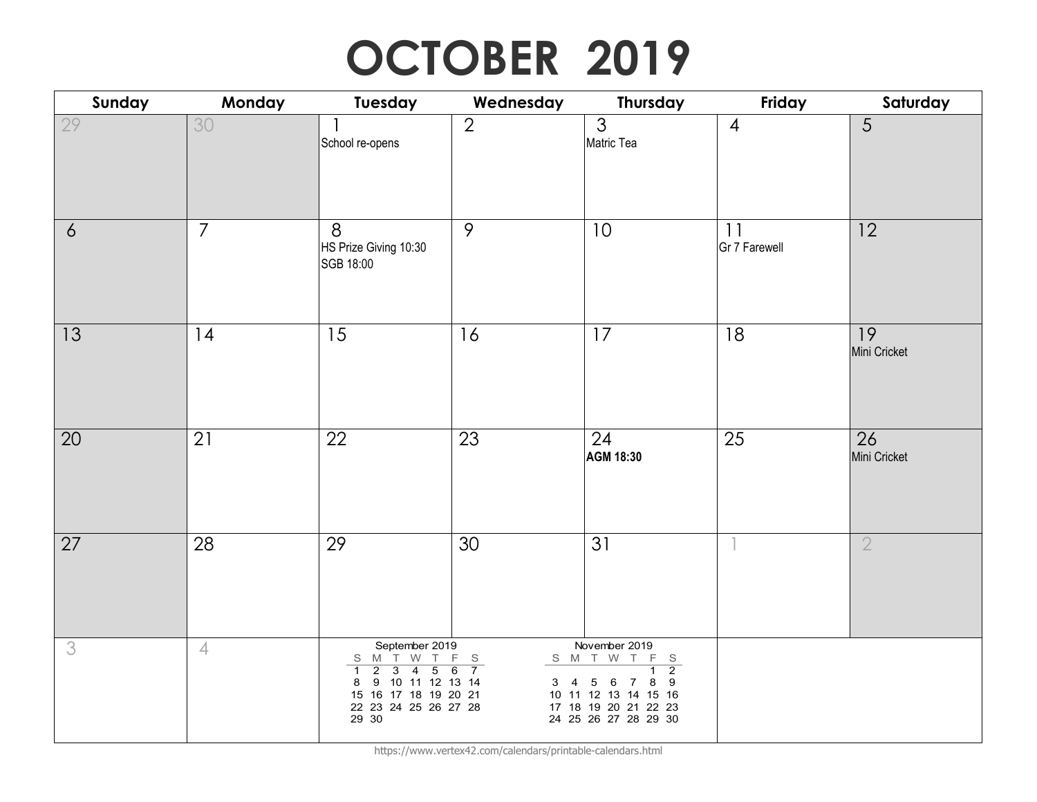### **OCTOBER 2019**

| Sunday         | Monday         | Tuesday                                                                                                                                                                                                                         | Wednesday                                                           | <b>Thursday</b>                                                                                                                                                                    | Friday              | Saturday           |
|----------------|----------------|---------------------------------------------------------------------------------------------------------------------------------------------------------------------------------------------------------------------------------|---------------------------------------------------------------------|------------------------------------------------------------------------------------------------------------------------------------------------------------------------------------|---------------------|--------------------|
| 29             | 30             | School re-opens                                                                                                                                                                                                                 | $\overline{2}$                                                      | $\overline{3}$<br>Matric Tea                                                                                                                                                       | $\overline{4}$      | 5                  |
| $\ddot{\circ}$ | $\overline{7}$ | 8<br>HS Prize Giving 10:30<br>SGB 18:00                                                                                                                                                                                         | 9                                                                   | 10                                                                                                                                                                                 | 11<br>Gr 7 Farewell | 12                 |
| 13             | 14             | 15                                                                                                                                                                                                                              | 16                                                                  | 17                                                                                                                                                                                 | 18                  | 19<br>Mini Cricket |
| 20             | 21             | 22                                                                                                                                                                                                                              | 23                                                                  | 24<br>AGM 18:30                                                                                                                                                                    | 25                  | 26<br>Mini Cricket |
| 27             | 28             | 29                                                                                                                                                                                                                              | 30                                                                  | 31                                                                                                                                                                                 |                     | $\overline{2}$     |
| 3              | $\overline{4}$ | September 2019<br>S M T W<br>$\top$<br>$\overline{2}$<br>$\overline{4}$<br>$\overline{5}$<br>$\overline{\mathbf{3}}$<br>$\overline{1}$<br>9 10 11 12 13 14<br>8<br>15 16 17 18 19 20 21<br>22  23  24  25  26  27  28<br>29  30 | F<br>$\mathsf S$<br>$\overline{6}$<br>$\overline{7}$<br>$3 \quad 4$ | November 2019<br>S M T W T<br>$F_S$<br>$\overline{2}$<br>$\overline{1}$<br>8<br>9<br>5 6<br>$\overline{7}$<br>10 11 12 13 14 15 16<br>17 18 19 20 21 22 23<br>24 25 26 27 28 29 30 |                     |                    |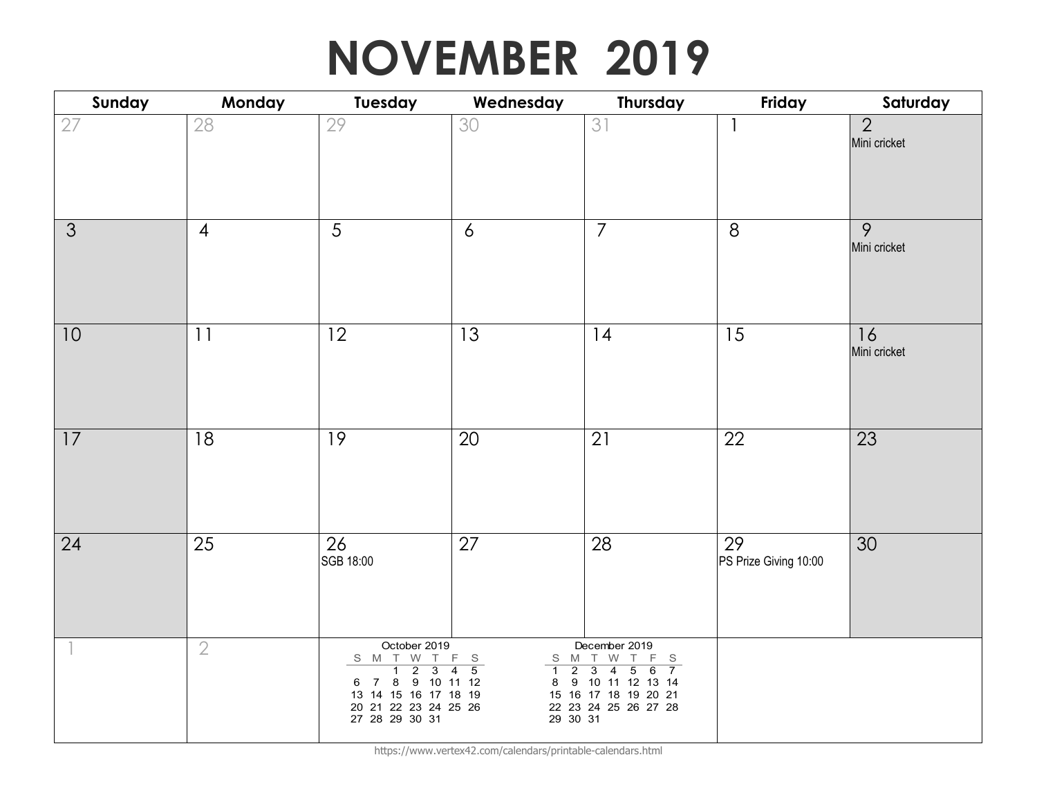#### **NOVEMBER 2019**

| Sunday | Monday         | Tuesday                                                                                                                  | Wednesday                                                                            | <b>Thursday</b>                                                                                                                                                                                                          | Friday                      | Saturday                       |
|--------|----------------|--------------------------------------------------------------------------------------------------------------------------|--------------------------------------------------------------------------------------|--------------------------------------------------------------------------------------------------------------------------------------------------------------------------------------------------------------------------|-----------------------------|--------------------------------|
| 27     | 28             | 29                                                                                                                       | 30                                                                                   | 31                                                                                                                                                                                                                       |                             | $\overline{2}$<br>Mini cricket |
| 3      | $\overline{4}$ | 5                                                                                                                        | 6                                                                                    | $\overline{7}$                                                                                                                                                                                                           | 8                           | $\overline{9}$<br>Mini cricket |
| 10     | 11             | 12                                                                                                                       | 13                                                                                   | 14                                                                                                                                                                                                                       | 15                          | 16<br>Mini cricket             |
| 17     | 18             | 19                                                                                                                       | 20                                                                                   | 21                                                                                                                                                                                                                       | 22                          | 23                             |
| 24     | 25             | 26<br>SGB 18:00                                                                                                          | 27                                                                                   | 28                                                                                                                                                                                                                       | 29<br>PS Prize Giving 10:00 | 30                             |
|        | $\overline{2}$ | October 2019<br>S M T W T<br>1 2 3<br>6 7 8 9 10 11 12<br>13 14 15 16 17 18 19<br>20 21 22 23 24 25 26<br>27 28 29 30 31 | $F_S$<br>S M<br>$\overline{5}$<br>$\overline{2}$<br>$\overline{4}$<br>$\overline{1}$ | December 2019<br>T W<br>$\top$<br>F<br>S<br>$\overline{\mathbf{3}}$<br>$\overline{4}$<br>$\overline{5}$<br>6<br>$\overline{7}$<br>8 9 10 11 12 13 14<br>15 16 17 18 19 20 21<br>22  23  24  25  26  27  28<br>29  30  31 |                             |                                |